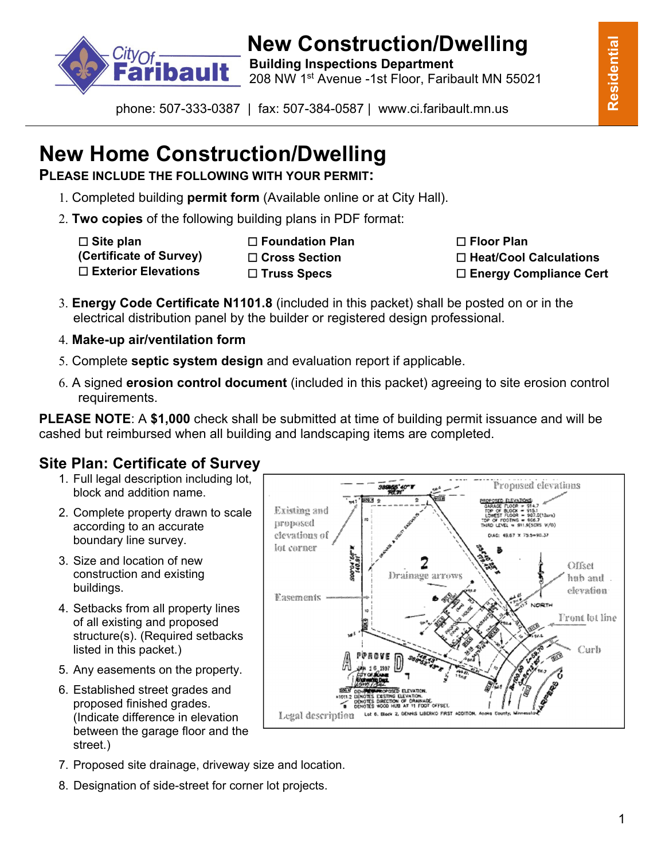

# **New Construction/Dwelling**<br>**Building Inspections Department**<br>**Bault** 2008 NW4454 Avenue 4ct Elect\_Estibult MN 5500

208 NW 1st Avenue -1st Floor, Faribault MN 55021

phone: 507-333-0387 | fax: 507-384-0587 | www.ci.faribault.mn.us

# **New Home Construction/Dwelling**

**PLEASE INCLUDE THE FOLLOWING WITH YOUR PERMIT:** 

- 1. Completed building **permit form** (Available online or at City Hall).
- 2. **Two copies** of the following building plans in PDF format:

☐ **Site plan (Certificate of Survey)** ☐ **Exterior Elevations**

☐ **Foundation Plan**  ☐ **Cross Section** ☐ **Truss Specs**

☐ **Floor Plan** ☐ **Heat/Cool Calculations** ☐ **Energy Compliance Cert**

Proposed elevations

.9(SCHS W/O)

NORTH

Offset

hab and . elevation

Front lot line

Curb

DIAG: 49.67 X 75.5-90.37

- 3. **Energy Code Certificate N1101.8** (included in this packet) shall be posted on or in the electrical distribution panel by the builder or registered design professional.
- 4. **Make-up air/ventilation form**
- 5. Complete **septic system design** and evaluation report if applicable.
- 6. A signed **erosion control document** (included in this packet) agreeing to site erosion control requirements.

**PLEASE NOTE**: A **\$1,000** check shall be submitted at time of building permit issuance and will be cashed but reimbursed when all building and landscaping items are completed.

> Existing and proposed

> clevations of

lot corner

Easements

## **Site Plan: Certificate of Survey**

- 1. Full legal description including lot, block and addition name.
- 2. Complete property drawn to scale according to an accurate boundary line survey.
- 3. Size and location of new construction and existing buildings.
- 4. Setbacks from all property lines of all existing and proposed structure(s). (Required setbacks listed in this packet.)
- 5. Any easements on the property.
- 6. Established street grades and proposed finished grades. (Indicate difference in elevation between the garage floor and the street.)
- ION OF DRAINAG<br>HUB AT 11 FOOT Legal description Lot 6. Block 2, DENNIS LIBERKO FIRST ADDITIO

**011**<br>10.00

2

Drainage arrows

- 7. Proposed site drainage, driveway size and location.
- 8. Designation of side-street for corner lot projects.

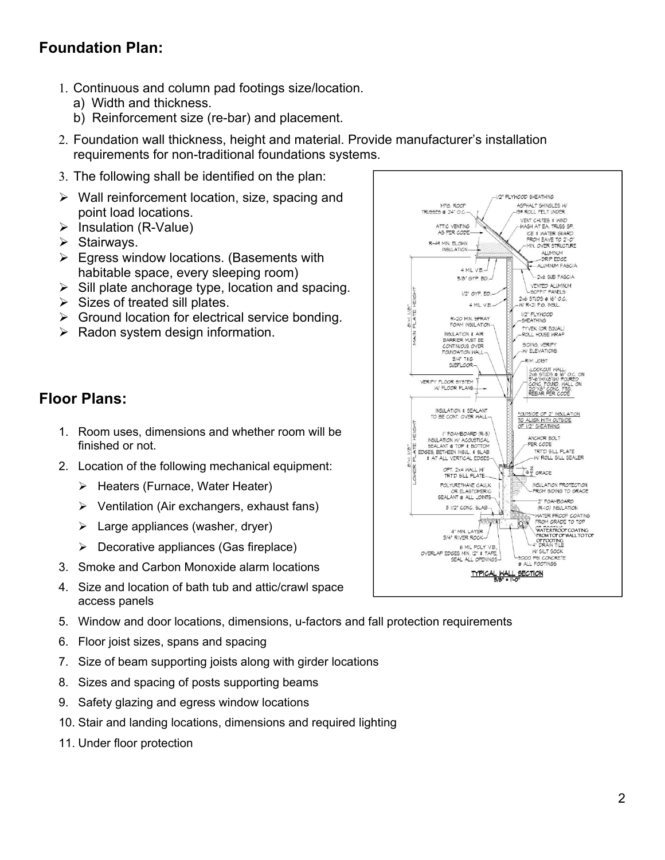#### **Foundation Plan:**

- 1. Continuous and column pad footings size/location.
	- a) Width and thickness.
	- b) Reinforcement size (re-bar) and placement.
- 2. Foundation wall thickness, height and material. Provide manufacturer's installation requirements for non-traditional foundations systems.
- 3. The following shall be identified on the plan:
- $\triangleright$  Wall reinforcement location, size, spacing and point load locations.
- $\triangleright$  Insulation (R-Value)
- $\triangleright$  Stairways.
- $\triangleright$  Egress window locations. (Basements with habitable space, every sleeping room)
- $\triangleright$  Sill plate anchorage type, location and spacing.
- $\triangleright$  Sizes of treated sill plates.
- $\triangleright$  Ground location for electrical service bonding.
- $\triangleright$  Radon system design information.

#### **Floor Plans:**

- 1. Room uses, dimensions and whether room will be finished or not.
- 2. Location of the following mechanical equipment:
	- $\triangleright$  Heaters (Furnace, Water Heater)
	- $\triangleright$  Ventilation (Air exchangers, exhaust fans)
	- $\triangleright$  Large appliances (washer, dryer)
	- $\triangleright$  Decorative appliances (Gas fireplace)
- 3. Smoke and Carbon Monoxide alarm locations
- 4. Size and location of bath tub and attic/crawl space access panels
- 5. Window and door locations, dimensions, u-factors and fall protection requirements
- 6. Floor joist sizes, spans and spacing
- 7. Size of beam supporting joists along with girder locations
- 8. Sizes and spacing of posts supporting beams
- 9. Safety glazing and egress window locations
- 10. Stair and landing locations, dimensions and required lighting
- 11. Under floor protection

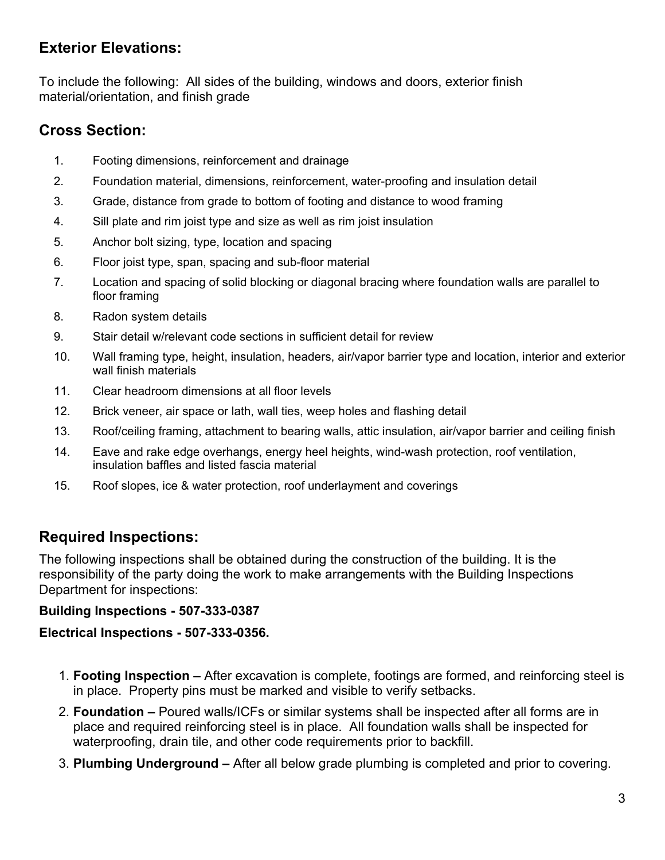#### **Exterior Elevations:**

To include the following: All sides of the building, windows and doors, exterior finish material/orientation, and finish grade

### **Cross Section:**

- 1. Footing dimensions, reinforcement and drainage
- 2. Foundation material, dimensions, reinforcement, water-proofing and insulation detail
- 3. Grade, distance from grade to bottom of footing and distance to wood framing
- 4. Sill plate and rim joist type and size as well as rim joist insulation
- 5. Anchor bolt sizing, type, location and spacing
- 6. Floor joist type, span, spacing and sub-floor material
- 7. Location and spacing of solid blocking or diagonal bracing where foundation walls are parallel to floor framing
- 8. Radon system details
- 9. Stair detail w/relevant code sections in sufficient detail for review
- 10. Wall framing type, height, insulation, headers, air/vapor barrier type and location, interior and exterior wall finish materials
- 11. Clear headroom dimensions at all floor levels
- 12. Brick veneer, air space or lath, wall ties, weep holes and flashing detail
- 13. Roof/ceiling framing, attachment to bearing walls, attic insulation, air/vapor barrier and ceiling finish
- 14. Eave and rake edge overhangs, energy heel heights, wind-wash protection, roof ventilation, insulation baffles and listed fascia material
- 15. Roof slopes, ice & water protection, roof underlayment and coverings

### **Required Inspections:**

The following inspections shall be obtained during the construction of the building. It is the responsibility of the party doing the work to make arrangements with the Building Inspections Department for inspections:

#### **Building Inspections - 507-333-0387**

#### **Electrical Inspections - 507-333-0356.**

- 1. **Footing Inspection** After excavation is complete, footings are formed, and reinforcing steel is in place. Property pins must be marked and visible to verify setbacks.
- 2. **Foundation –** Poured walls/ICFs or similar systems shall be inspected after all forms are in place and required reinforcing steel is in place. All foundation walls shall be inspected for waterproofing, drain tile, and other code requirements prior to backfill.
- 3. **Plumbing Underground –** After all below grade plumbing is completed and prior to covering.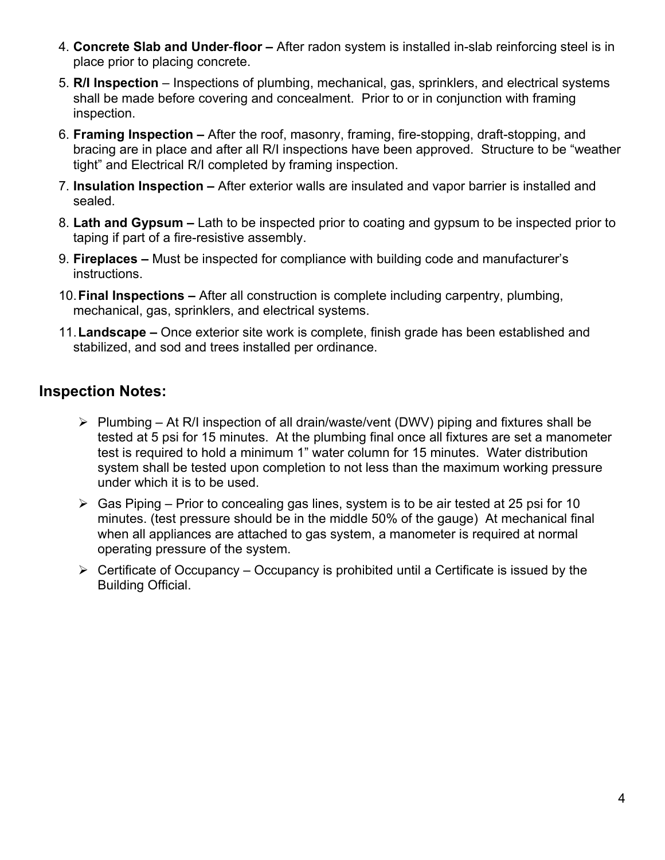- 4. **Concrete Slab and Under**-**floor** After radon system is installed in-slab reinforcing steel is in place prior to placing concrete.
- 5. **R/I Inspection** Inspections of plumbing, mechanical, gas, sprinklers, and electrical systems shall be made before covering and concealment. Prior to or in conjunction with framing inspection.
- 6. **Framing Inspection** After the roof, masonry, framing, fire-stopping, draft-stopping, and bracing are in place and after all R/I inspections have been approved. Structure to be "weather tight" and Electrical R/I completed by framing inspection.
- 7. **Insulation Inspection –** After exterior walls are insulated and vapor barrier is installed and sealed.
- 8. **Lath and Gypsum –** Lath to be inspected prior to coating and gypsum to be inspected prior to taping if part of a fire-resistive assembly.
- 9. **Fireplaces –** Must be inspected for compliance with building code and manufacturer's instructions.
- 10. **Final Inspections –** After all construction is complete including carpentry, plumbing, mechanical, gas, sprinklers, and electrical systems.
- 11. **Landscape –** Once exterior site work is complete, finish grade has been established and stabilized, and sod and trees installed per ordinance.

#### **Inspection Notes:**

- $\triangleright$  Plumbing At R/I inspection of all drain/waste/vent (DWV) piping and fixtures shall be tested at 5 psi for 15 minutes. At the plumbing final once all fixtures are set a manometer test is required to hold a minimum 1" water column for 15 minutes. Water distribution system shall be tested upon completion to not less than the maximum working pressure under which it is to be used.
- $\triangleright$  Gas Piping Prior to concealing gas lines, system is to be air tested at 25 psi for 10 minutes. (test pressure should be in the middle 50% of the gauge) At mechanical final when all appliances are attached to gas system, a manometer is required at normal operating pressure of the system.
- $\triangleright$  Certificate of Occupancy Occupancy is prohibited until a Certificate is issued by the Building Official.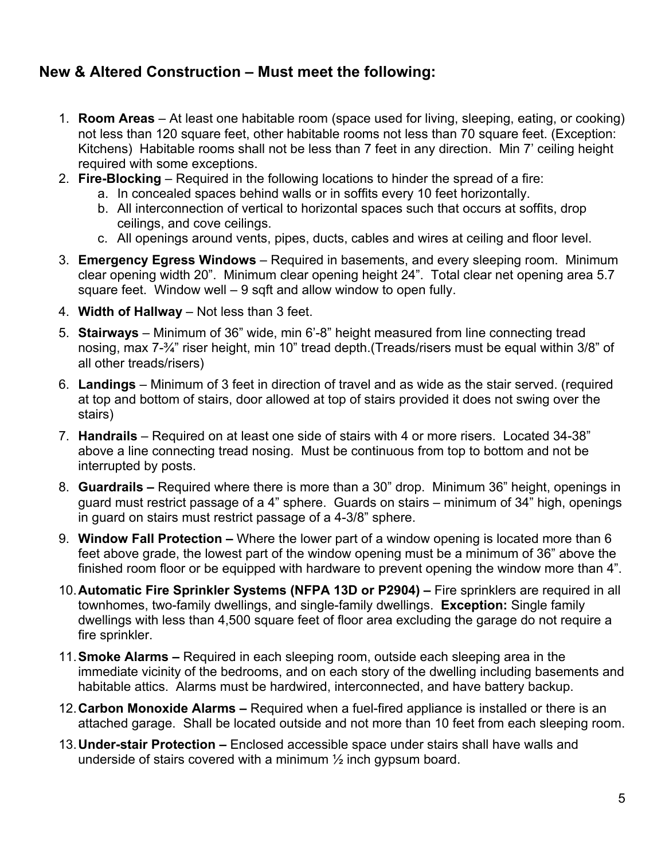#### **New & Altered Construction – Must meet the following:**

- 1. **Room Areas**  At least one habitable room (space used for living, sleeping, eating, or cooking) not less than 120 square feet, other habitable rooms not less than 70 square feet. (Exception: Kitchens) Habitable rooms shall not be less than 7 feet in any direction. Min 7' ceiling height required with some exceptions.
- 2. **Fire-Blocking** Required in the following locations to hinder the spread of a fire:
	- a. In concealed spaces behind walls or in soffits every 10 feet horizontally.
	- b. All interconnection of vertical to horizontal spaces such that occurs at soffits, drop ceilings, and cove ceilings.
	- c. All openings around vents, pipes, ducts, cables and wires at ceiling and floor level.
- 3. **Emergency Egress Windows** Required in basements, and every sleeping room. Minimum clear opening width 20". Minimum clear opening height 24". Total clear net opening area 5.7 square feet. Window well – 9 sqft and allow window to open fully.
- 4. **Width of Hallway** Not less than 3 feet.
- 5. **Stairways**  Minimum of 36" wide, min 6'-8" height measured from line connecting tread nosing, max 7-¾" riser height, min 10" tread depth.(Treads/risers must be equal within 3/8" of all other treads/risers)
- 6. **Landings**  Minimum of 3 feet in direction of travel and as wide as the stair served. (required at top and bottom of stairs, door allowed at top of stairs provided it does not swing over the stairs)
- 7. **Handrails**  Required on at least one side of stairs with 4 or more risers. Located 34-38" above a line connecting tread nosing. Must be continuous from top to bottom and not be interrupted by posts.
- 8. **Guardrails** Required where there is more than a 30" drop. Minimum 36" height, openings in guard must restrict passage of a 4" sphere. Guards on stairs – minimum of 34" high, openings in guard on stairs must restrict passage of a 4-3/8" sphere.
- 9. **Window Fall Protection –** Where the lower part of a window opening is located more than 6 feet above grade, the lowest part of the window opening must be a minimum of 36" above the finished room floor or be equipped with hardware to prevent opening the window more than 4".
- 10. **Automatic Fire Sprinkler Systems (NFPA 13D or P2904) –** Fire sprinklers are required in all townhomes, two-family dwellings, and single-family dwellings. **Exception:** Single family dwellings with less than 4,500 square feet of floor area excluding the garage do not require a fire sprinkler.
- 11. **Smoke Alarms** Required in each sleeping room, outside each sleeping area in the immediate vicinity of the bedrooms, and on each story of the dwelling including basements and habitable attics. Alarms must be hardwired, interconnected, and have battery backup.
- 12. **Carbon Monoxide Alarms –** Required when a fuel-fired appliance is installed or there is an attached garage. Shall be located outside and not more than 10 feet from each sleeping room.
- 13. **Under-stair Protection** Enclosed accessible space under stairs shall have walls and underside of stairs covered with a minimum ½ inch gypsum board.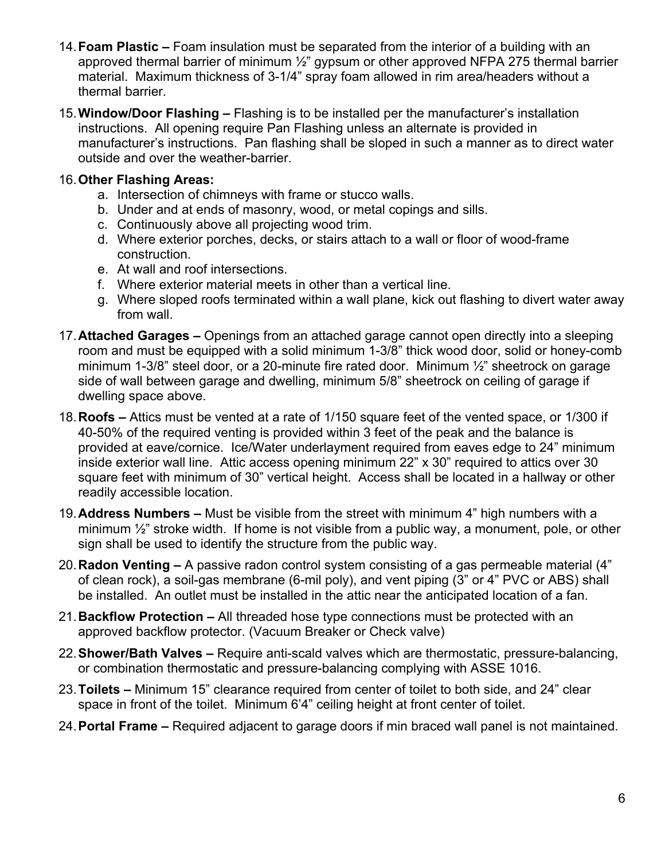- 14. **Foam Plastic –** Foam insulation must be separated from the interior of a building with an approved thermal barrier of minimum ½" gypsum or other approved NFPA 275 thermal barrier material. Maximum thickness of 3-1/4" spray foam allowed in rim area/headers without a thermal barrier.
- 15. **Window/Door Flashing –** Flashing is to be installed per the manufacturer's installation instructions. All opening require Pan Flashing unless an alternate is provided in manufacturer's instructions. Pan flashing shall be sloped in such a manner as to direct water outside and over the weather-barrier.

#### 16. **Other Flashing Areas:**

- a. Intersection of chimneys with frame or stucco walls.
- b. Under and at ends of masonry, wood, or metal copings and sills.
- c. Continuously above all projecting wood trim.
- d. Where exterior porches, decks, or stairs attach to a wall or floor of wood-frame construction.
- e. At wall and roof intersections.
- f. Where exterior material meets in other than a vertical line.
- g. Where sloped roofs terminated within a wall plane, kick out flashing to divert water away from wall.
- 17. **Attached Garages** Openings from an attached garage cannot open directly into a sleeping room and must be equipped with a solid minimum 1-3/8" thick wood door, solid or honey-comb minimum 1-3/8" steel door, or a 20-minute fire rated door. Minimum ½" sheetrock on garage side of wall between garage and dwelling, minimum 5/8" sheetrock on ceiling of garage if dwelling space above.
- 18. **Roofs –** Attics must be vented at a rate of 1/150 square feet of the vented space, or 1/300 if 40-50% of the required venting is provided within 3 feet of the peak and the balance is provided at eave/cornice. Ice/Water underlayment required from eaves edge to 24" minimum inside exterior wall line. Attic access opening minimum 22" x 30" required to attics over 30 square feet with minimum of 30" vertical height. Access shall be located in a hallway or other readily accessible location.
- 19. **Address Numbers** Must be visible from the street with minimum 4" high numbers with a minimum ½" stroke width. If home is not visible from a public way, a monument, pole, or other sign shall be used to identify the structure from the public way.
- 20. **Radon Venting –** A passive radon control system consisting of a gas permeable material (4" of clean rock), a soil-gas membrane (6-mil poly), and vent piping (3" or 4" PVC or ABS) shall be installed. An outlet must be installed in the attic near the anticipated location of a fan.
- 21. **Backflow Protection –** All threaded hose type connections must be protected with an approved backflow protector. (Vacuum Breaker or Check valve)
- 22. **Shower/Bath Valves –** Require anti-scald valves which are thermostatic, pressure-balancing, or combination thermostatic and pressure-balancing complying with ASSE 1016.
- 23. **Toilets –** Minimum 15" clearance required from center of toilet to both side, and 24" clear space in front of the toilet. Minimum 6'4" ceiling height at front center of toilet.
- 24. **Portal Frame –** Required adjacent to garage doors if min braced wall panel is not maintained.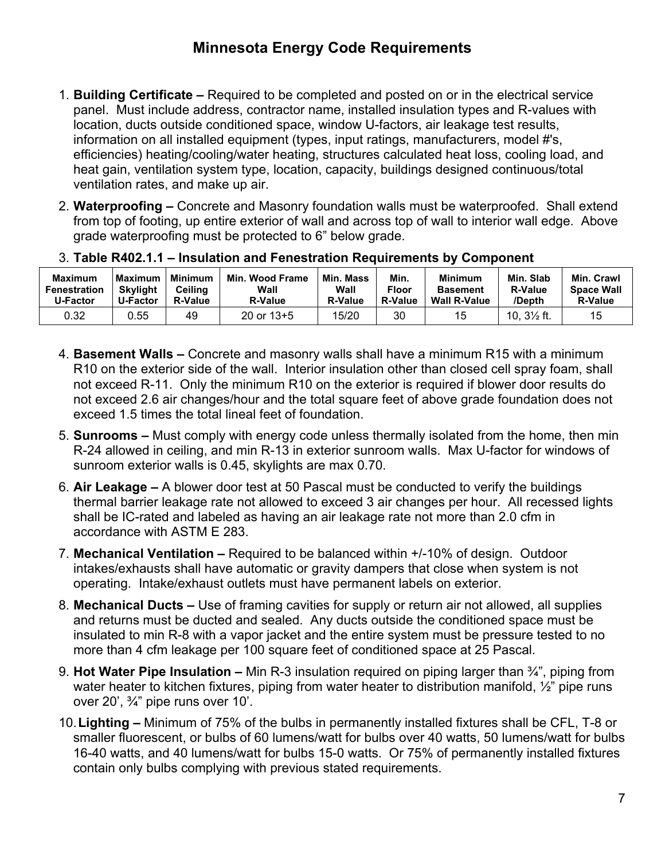- 1. **Building Certificate** Required to be completed and posted on or in the electrical service panel. Must include address, contractor name, installed insulation types and R-values with location, ducts outside conditioned space, window U-factors, air leakage test results, information on all installed equipment (types, input ratings, manufacturers, model #'s, efficiencies) heating/cooling/water heating, structures calculated heat loss, cooling load, and heat gain, ventilation system type, location, capacity, buildings designed continuous/total ventilation rates, and make up air.
- 2. **Waterproofing** Concrete and Masonry foundation walls must be waterproofed. Shall extend from top of footing, up entire exterior of wall and across top of wall to interior wall edge. Above grade waterproofing must be protected to 6" below grade.

| <b>Maximum</b><br>Fenestration<br>U-Factor | <b>Maximum</b><br><b>Skylight</b><br><b>U-Factor</b> | <b>Minimum</b><br>Ceilina<br><b>R-Value</b> | Min.<br><b>Wood Frame</b><br>Wall<br><b>R-Value</b> | Min. Mass<br>Wall<br><b>R-Value</b> | Min.<br><b>Floor</b><br><b>R-Value</b> | <b>Minimum</b><br><b>Basement</b><br><b>Wall R-Value</b> | Min. Slab<br><b>R-Value</b><br>/Depth | Min. Crawl<br><b>Space Wall</b><br><b>R-Value</b> |
|--------------------------------------------|------------------------------------------------------|---------------------------------------------|-----------------------------------------------------|-------------------------------------|----------------------------------------|----------------------------------------------------------|---------------------------------------|---------------------------------------------------|
| 0.32                                       | 0.55                                                 | 49                                          | 20 or $13+5$                                        | 15/20                               | 30                                     | 15                                                       | 10, $3\frac{1}{2}$ ft.                | 15                                                |

- 3. **Table R402.1.1 Insulation and Fenestration Requirements by Component**
- 4. **Basement Walls** Concrete and masonry walls shall have a minimum R15 with a minimum R10 on the exterior side of the wall. Interior insulation other than closed cell spray foam, shall not exceed R-11. Only the minimum R10 on the exterior is required if blower door results do not exceed 2.6 air changes/hour and the total square feet of above grade foundation does not exceed 1.5 times the total lineal feet of foundation.
- 5. **Sunrooms** Must comply with energy code unless thermally isolated from the home, then min R-24 allowed in ceiling, and min R-13 in exterior sunroom walls. Max U-factor for windows of sunroom exterior walls is 0.45, skylights are max 0.70.
- 6. **Air Leakage** A blower door test at 50 Pascal must be conducted to verify the buildings thermal barrier leakage rate not allowed to exceed 3 air changes per hour. All recessed lights shall be IC-rated and labeled as having an air leakage rate not more than 2.0 cfm in accordance with ASTM E 283.
- 7. **Mechanical Ventilation** Required to be balanced within +/-10% of design. Outdoor intakes/exhausts shall have automatic or gravity dampers that close when system is not operating. Intake/exhaust outlets must have permanent labels on exterior.
- 8. **Mechanical Ducts –** Use of framing cavities for supply or return air not allowed, all supplies and returns must be ducted and sealed. Any ducts outside the conditioned space must be insulated to min R-8 with a vapor jacket and the entire system must be pressure tested to no more than 4 cfm leakage per 100 square feet of conditioned space at 25 Pascal.
- 9. **Hot Water Pipe Insulation** Min R-3 insulation required on piping larger than ¾", piping from water heater to kitchen fixtures, piping from water heater to distribution manifold,  $\frac{1}{2}$ " pipe runs over 20', ¾" pipe runs over 10'.
- 10. **Lighting** Minimum of 75% of the bulbs in permanently installed fixtures shall be CFL, T-8 or smaller fluorescent, or bulbs of 60 lumens/watt for bulbs over 40 watts, 50 lumens/watt for bulbs 16-40 watts, and 40 lumens/watt for bulbs 15-0 watts. Or 75% of permanently installed fixtures contain only bulbs complying with previous stated requirements.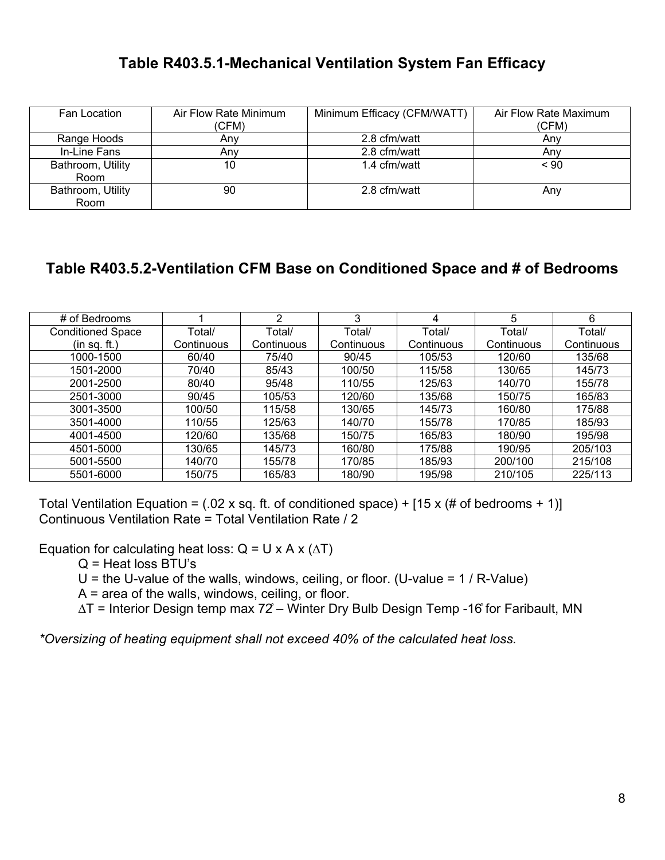#### **Table R403.5.1-Mechanical Ventilation System Fan Efficacy**

| Fan Location              | Air Flow Rate Minimum<br>(CFM) | Minimum Efficacy (CFM/WATT) | Air Flow Rate Maximum<br>(CFM) |  |
|---------------------------|--------------------------------|-----------------------------|--------------------------------|--|
| Range Hoods               | Anv                            | 2.8 cfm/watt                | Any                            |  |
| In-Line Fans              | Anv                            | 2.8 cfm/watt                | Anv                            |  |
| Bathroom, Utility<br>Room | 10                             | 1.4 cfm/watt                | ~< 90                          |  |
| Bathroom, Utility<br>Room | 90                             | 2.8 cfm/watt                | Any                            |  |

#### **Table R403.5.2-Ventilation CFM Base on Conditioned Space and # of Bedrooms**

| # of Bedrooms            |            | ◠          | 3          | 4          | 5          | 6          |
|--------------------------|------------|------------|------------|------------|------------|------------|
| <b>Conditioned Space</b> | Total/     | Total/     | Total/     | Total/     | Total/     | Total/     |
| (in sq. ft.)             | Continuous | Continuous | Continuous | Continuous | Continuous | Continuous |
| 1000-1500                | 60/40      | 75/40      | 90/45      | 105/53     | 120/60     | 135/68     |
| 1501-2000                | 70/40      | 85/43      | 100/50     | 115/58     | 130/65     | 145/73     |
| 2001-2500                | 80/40      | 95/48      | 110/55     | 125/63     | 140/70     | 155/78     |
| 2501-3000                | 90/45      | 105/53     | 120/60     | 135/68     | 150/75     | 165/83     |
| 3001-3500                | 100/50     | 115/58     | 130/65     | 145/73     | 160/80     | 175/88     |
| 3501-4000                | 110/55     | 125/63     | 140/70     | 155/78     | 170/85     | 185/93     |
| 4001-4500                | 120/60     | 135/68     | 150/75     | 165/83     | 180/90     | 195/98     |
| 4501-5000                | 130/65     | 145/73     | 160/80     | 175/88     | 190/95     | 205/103    |
| 5001-5500                | 140/70     | 155/78     | 170/85     | 185/93     | 200/100    | 215/108    |
| 5501-6000                | 150/75     | 165/83     | 180/90     | 195/98     | 210/105    | 225/113    |

Total Ventilation Equation = (.02 x sq. ft. of conditioned space) + [15 x (# of bedrooms + 1)] Continuous Ventilation Rate = Total Ventilation Rate / 2

Equation for calculating heat loss:  $Q = U \times A \times (\Delta T)$ 

Q = Heat loss BTU's

 $U =$  the U-value of the walls, windows, ceiling, or floor. (U-value = 1 / R-Value)

 $A = area of the walls, windows, ceiling, or floor.$ 

∆T = Interior Design temp max 72̊ – Winter Dry Bulb Design Temp -16̊ for Faribault, MN

*\*Oversizing of heating equipment shall not exceed 40% of the calculated heat loss.*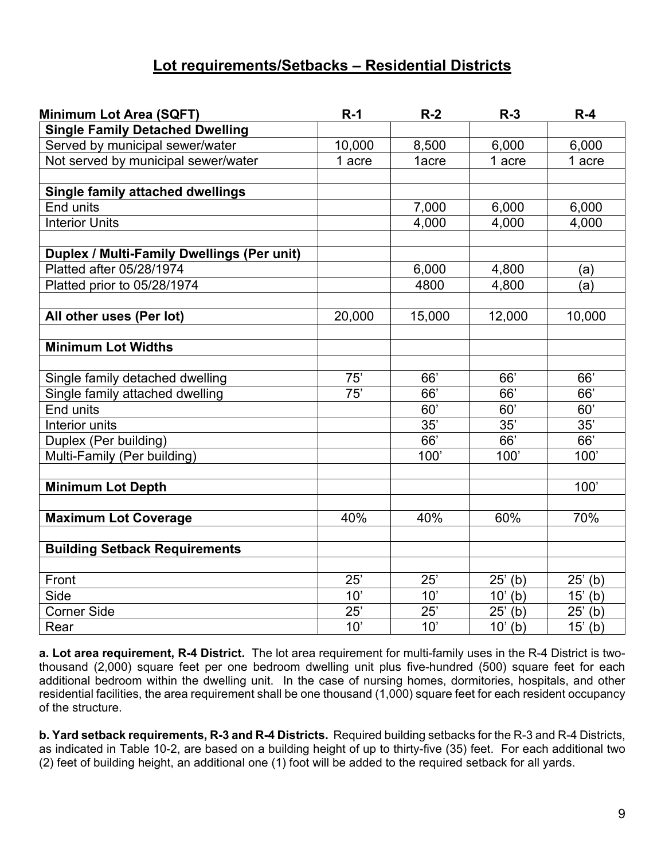#### **Lot requirements/Setbacks – Residential Districts**

| <b>Minimum Lot Area (SQFT)</b>                                     | $R-1$  | $R-2$  | $R-3$                 | $R-4$      |  |
|--------------------------------------------------------------------|--------|--------|-----------------------|------------|--|
| <b>Single Family Detached Dwelling</b>                             |        |        |                       |            |  |
| Served by municipal sewer/water                                    | 10,000 | 8,500  | 6,000                 | 6,000      |  |
| Not served by municipal sewer/water                                | 1 acre | 1acre  | 1 acre                | 1 acre     |  |
|                                                                    |        |        |                       |            |  |
| <b>Single family attached dwellings</b>                            |        |        |                       |            |  |
| End units                                                          |        | 7,000  | 6,000                 | 6,000      |  |
| <b>Interior Units</b>                                              |        | 4,000  | 4,000                 | 4,000      |  |
|                                                                    |        |        |                       |            |  |
| <b>Duplex / Multi-Family Dwellings (Per unit)</b>                  |        |        |                       |            |  |
| Platted after 05/28/1974                                           |        | 6,000  | 4,800                 | (a)        |  |
| Platted prior to 05/28/1974                                        |        | 4800   | 4,800                 | (a)        |  |
| All other uses (Per lot)                                           | 20,000 | 15,000 | 12,000                | 10,000     |  |
|                                                                    |        |        |                       |            |  |
| <b>Minimum Lot Widths</b>                                          |        |        |                       |            |  |
|                                                                    | 75'    | 66'    | 66'                   | 66'        |  |
| Single family detached dwelling<br>Single family attached dwelling | 75'    | 66'    | 66'                   | 66'        |  |
| End units                                                          |        | 60'    | 60'                   | 60'        |  |
| Interior units                                                     |        | 35'    | 35'                   | 35'        |  |
| Duplex (Per building)                                              |        | 66'    | 66'                   | 66'        |  |
| Multi-Family (Per building)                                        |        | 100'   | 100'                  | 100'       |  |
|                                                                    |        |        |                       |            |  |
| <b>Minimum Lot Depth</b>                                           |        |        |                       | 100'       |  |
|                                                                    |        |        |                       |            |  |
| <b>Maximum Lot Coverage</b>                                        | 40%    | 40%    | 60%                   | 70%        |  |
| <b>Building Setback Requirements</b>                               |        |        |                       |            |  |
|                                                                    |        |        |                       |            |  |
| Front                                                              | 25'    | 25'    | $25'$ (b)             | $25'$ (b)  |  |
| Side                                                               | 10'    | 10'    | $10'$ (b)             | $15'$ (b)  |  |
| <b>Corner Side</b>                                                 | 25'    | 25'    | $25'$ (b)             | $25'$ (b)  |  |
| Rear                                                               | 10'    | 10'    | $\overline{10}$ ' (b) | 15'<br>(b) |  |

**a. Lot area requirement, R-4 District.** The lot area requirement for multi-family uses in the R-4 District is twothousand (2,000) square feet per one bedroom dwelling unit plus five-hundred (500) square feet for each additional bedroom within the dwelling unit. In the case of nursing homes, dormitories, hospitals, and other residential facilities, the area requirement shall be one thousand (1,000) square feet for each resident occupancy of the structure.

**b. Yard setback requirements, R-3 and R-4 Districts.** Required building setbacks for the R-3 and R-4 Districts, as indicated in Table 10-2, are based on a building height of up to thirty-five (35) feet. For each additional two (2) feet of building height, an additional one (1) foot will be added to the required setback for all yards.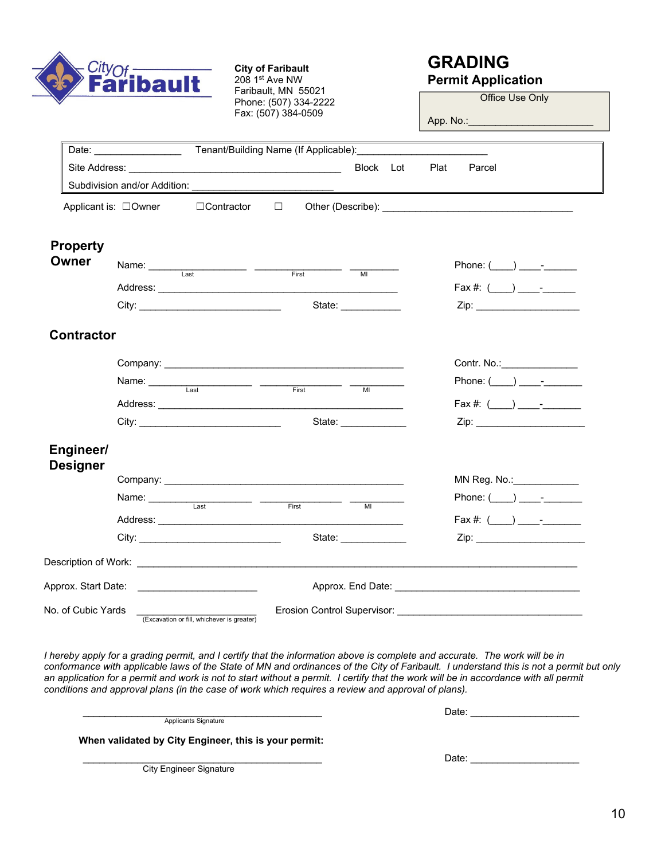

**City of Faribault**  208 1st Ave NW Faribault, MN 55021 Phone: (507) 334-2222 Fax: (507) 384-0509

#### **GRADING Permit Application**

Office Use Only

App. No.:\_\_\_\_\_\_\_\_\_\_\_\_\_\_\_\_\_\_\_\_\_\_\_

|                                 | Date: <u>Cambridge Tenant/Building Name</u> (If Applicable): Cambridge 1996. |                                                                                                                                                                                                                                                                                                                                                                                                                  |        |       |                                |           |      |        |                                                                                                                                                                                                                                |
|---------------------------------|------------------------------------------------------------------------------|------------------------------------------------------------------------------------------------------------------------------------------------------------------------------------------------------------------------------------------------------------------------------------------------------------------------------------------------------------------------------------------------------------------|--------|-------|--------------------------------|-----------|------|--------|--------------------------------------------------------------------------------------------------------------------------------------------------------------------------------------------------------------------------------|
|                                 |                                                                              |                                                                                                                                                                                                                                                                                                                                                                                                                  |        |       |                                | Block Lot | Plat | Parcel |                                                                                                                                                                                                                                |
|                                 |                                                                              |                                                                                                                                                                                                                                                                                                                                                                                                                  |        |       |                                |           |      |        |                                                                                                                                                                                                                                |
|                                 | Applicant is: □Owner                                                         | □Contractor                                                                                                                                                                                                                                                                                                                                                                                                      | $\Box$ |       |                                |           |      |        | Other (Describe): The contract of the contract of the contract of the contract of the contract of the contract of the contract of the contract of the contract of the contract of the contract of the contract of the contract |
| <b>Property</b><br><b>Owner</b> |                                                                              | Name: Last Last First Tull                                                                                                                                                                                                                                                                                                                                                                                       |        |       |                                |           |      |        | Phone: $(\_\_\_\_\_\_\_\$                                                                                                                                                                                                      |
|                                 |                                                                              |                                                                                                                                                                                                                                                                                                                                                                                                                  |        |       |                                |           |      |        | $\text{Fax } #: (\_\_\_\_\_\_\_\_--)$                                                                                                                                                                                          |
|                                 |                                                                              |                                                                                                                                                                                                                                                                                                                                                                                                                  |        |       |                                |           |      |        |                                                                                                                                                                                                                                |
| <b>Contractor</b>               |                                                                              |                                                                                                                                                                                                                                                                                                                                                                                                                  |        |       |                                |           |      |        |                                                                                                                                                                                                                                |
|                                 |                                                                              |                                                                                                                                                                                                                                                                                                                                                                                                                  |        |       |                                |           |      |        | Contr. No.: <u>Contract Contre Contre Contract Control</u>                                                                                                                                                                     |
|                                 |                                                                              | Name: $\frac{1}{\sqrt{1-\frac{1}{1-\frac{1}{1-\frac{1}{1-\frac{1}{1-\frac{1}{1-\frac{1}{1-\frac{1}{1-\frac{1}{1-\frac{1}{1-\frac{1}{1-\frac{1}{1-\frac{1}{1-\frac{1}{1-\frac{1}{1-\frac{1}{1-\frac{1}{1-\frac{1}{1-\frac{1}{1-\frac{1}{1-\frac{1}{1-\frac{1}{1-\frac{1}{1-\frac{1}{1-\frac{1}{1-\frac{1}{1-\frac{1}{1-\frac{1}{1-\frac{1}{1-\frac{1}{1-\frac{1}{1-\frac{1}{1-\frac{1}{1-\frac{1}{1-\frac{1}{1-\$ |        | First | MI                             |           |      |        | Phone: $(\_\_\_\_\_\_\_\$                                                                                                                                                                                                      |
|                                 |                                                                              |                                                                                                                                                                                                                                                                                                                                                                                                                  |        |       |                                |           |      |        | $\text{Fax #: } (\_\_\_) \_\_\_\_$                                                                                                                                                                                             |
|                                 |                                                                              |                                                                                                                                                                                                                                                                                                                                                                                                                  |        |       | State: <u>________________</u> |           |      |        |                                                                                                                                                                                                                                |
| Engineer/<br><b>Designer</b>    |                                                                              |                                                                                                                                                                                                                                                                                                                                                                                                                  |        |       |                                |           |      |        |                                                                                                                                                                                                                                |
|                                 |                                                                              |                                                                                                                                                                                                                                                                                                                                                                                                                  |        |       |                                |           |      |        | $MN$ Reg. No.:                                                                                                                                                                                                                 |
|                                 |                                                                              | Name: $\frac{1}{\sqrt{1-\frac{1}{1-\frac{1}{1-\frac{1}{1-\frac{1}{1-\frac{1}{1-\frac{1}{1-\frac{1}{1-\frac{1}{1-\frac{1}{1-\frac{1}{1-\frac{1}{1-\frac{1}{1-\frac{1}{1-\frac{1}{1-\frac{1}{1-\frac{1}{1-\frac{1}{1-\frac{1}{1-\frac{1}{1-\frac{1}{1-\frac{1}{1-\frac{1}{1-\frac{1}{1-\frac{1}{1-\frac{1}{1-\frac{1}{1-\frac{1}{1-\frac{1}{1-\frac{1}{1-\frac{1}{1-\frac{1}{1-\frac{1}{1-\frac{1}{1-\frac{1}{1-\$ |        |       | M <sub>l</sub>                 |           |      |        | Phone: $(\_\_\_\_\_\_\_\$                                                                                                                                                                                                      |
|                                 |                                                                              |                                                                                                                                                                                                                                                                                                                                                                                                                  |        |       |                                |           |      |        | $\text{Fax } \#: (\_\_\_\_\_\_\_ \_ \_$                                                                                                                                                                                        |
|                                 |                                                                              |                                                                                                                                                                                                                                                                                                                                                                                                                  |        |       | State:                         |           |      |        | Zip: __________________________                                                                                                                                                                                                |
|                                 |                                                                              |                                                                                                                                                                                                                                                                                                                                                                                                                  |        |       |                                |           |      |        |                                                                                                                                                                                                                                |
|                                 |                                                                              |                                                                                                                                                                                                                                                                                                                                                                                                                  |        |       |                                |           |      |        | Approx. End Date: Approx. End Date:                                                                                                                                                                                            |
| No. of Cubic Yards _            |                                                                              | (Excavation or fill, whichever is greater)                                                                                                                                                                                                                                                                                                                                                                       |        |       |                                |           |      |        |                                                                                                                                                                                                                                |

*I hereby apply for a grading permit, and I certify that the information above is complete and accurate. The work will be in conformance with applicable laws of the State of MN and ordinances of the City of Faribault. I understand this is not a permit but only*  an application for a permit and work is not to start without a permit. I certify that the work will be in accordance with all permit *conditions and approval plans (in the case of work which requires a review and approval of plans).* 

Applicants Signature

\_\_\_\_\_\_\_\_\_\_\_\_\_\_\_\_\_\_\_\_\_\_\_\_\_\_\_\_\_\_\_\_\_\_\_\_\_\_\_\_\_\_\_\_ Date: \_\_\_\_\_\_\_\_\_\_\_\_\_\_\_\_\_\_\_\_

 **When validated by City Engineer, this is your permit:** 

City Engineer Signature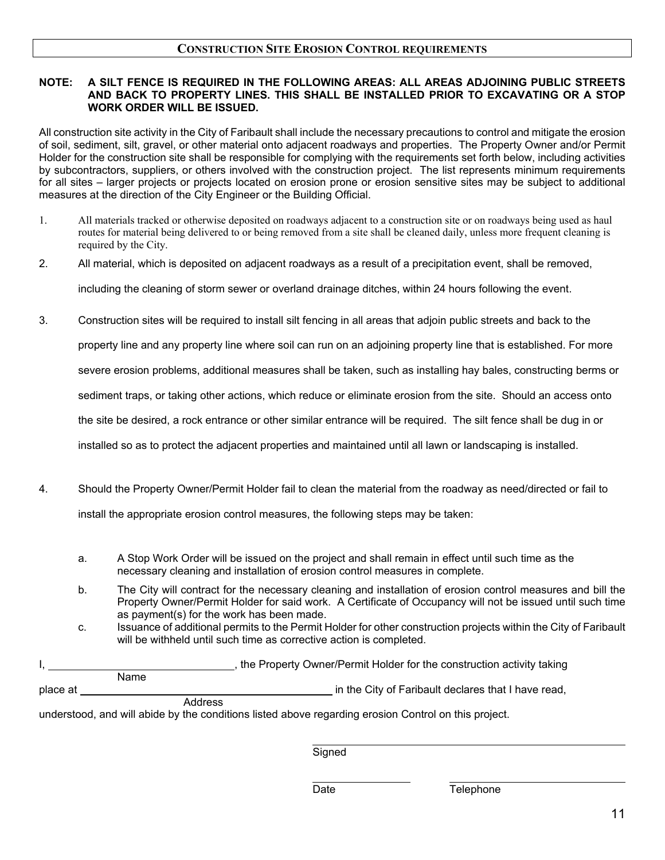#### **CONSTRUCTION SITE EROSION CONTROL REQUIREMENTS**

#### **NOTE: A SILT FENCE IS REQUIRED IN THE FOLLOWING AREAS: ALL AREAS ADJOINING PUBLIC STREETS AND BACK TO PROPERTY LINES. THIS SHALL BE INSTALLED PRIOR TO EXCAVATING OR A STOP WORK ORDER WILL BE ISSUED.**

All construction site activity in the City of Faribault shall include the necessary precautions to control and mitigate the erosion of soil, sediment, silt, gravel, or other material onto adjacent roadways and properties. The Property Owner and/or Permit Holder for the construction site shall be responsible for complying with the requirements set forth below, including activities by subcontractors, suppliers, or others involved with the construction project. The list represents minimum requirements for all sites – larger projects or projects located on erosion prone or erosion sensitive sites may be subject to additional measures at the direction of the City Engineer or the Building Official.

- 1. All materials tracked or otherwise deposited on roadways adjacent to a construction site or on roadways being used as haul routes for material being delivered to or being removed from a site shall be cleaned daily, unless more frequent cleaning is required by the City.
- 2. All material, which is deposited on adjacent roadways as a result of a precipitation event, shall be removed,

including the cleaning of storm sewer or overland drainage ditches, within 24 hours following the event.

3. Construction sites will be required to install silt fencing in all areas that adjoin public streets and back to the

property line and any property line where soil can run on an adjoining property line that is established. For more

severe erosion problems, additional measures shall be taken, such as installing hay bales, constructing berms or

sediment traps, or taking other actions, which reduce or eliminate erosion from the site. Should an access onto

the site be desired, a rock entrance or other similar entrance will be required. The silt fence shall be dug in or

installed so as to protect the adjacent properties and maintained until all lawn or landscaping is installed.

- 4. Should the Property Owner/Permit Holder fail to clean the material from the roadway as need/directed or fail to install the appropriate erosion control measures, the following steps may be taken:
	- a. A Stop Work Order will be issued on the project and shall remain in effect until such time as the necessary cleaning and installation of erosion control measures in complete.
	- b. The City will contract for the necessary cleaning and installation of erosion control measures and bill the Property Owner/Permit Holder for said work. A Certificate of Occupancy will not be issued until such time as payment(s) for the work has been made.
	- c. Issuance of additional permits to the Permit Holder for other construction projects within the City of Faribault will be withheld until such time as corrective action is completed.

|          |      |         | the Property Owner/Permit Holder for the construction activity taking |
|----------|------|---------|-----------------------------------------------------------------------|
|          | Name |         |                                                                       |
| place at |      |         | in the City of Faribault declares that I have read,                   |
|          |      | Address |                                                                       |

understood, and will abide by the conditions listed above regarding erosion Control on this project.

Signed